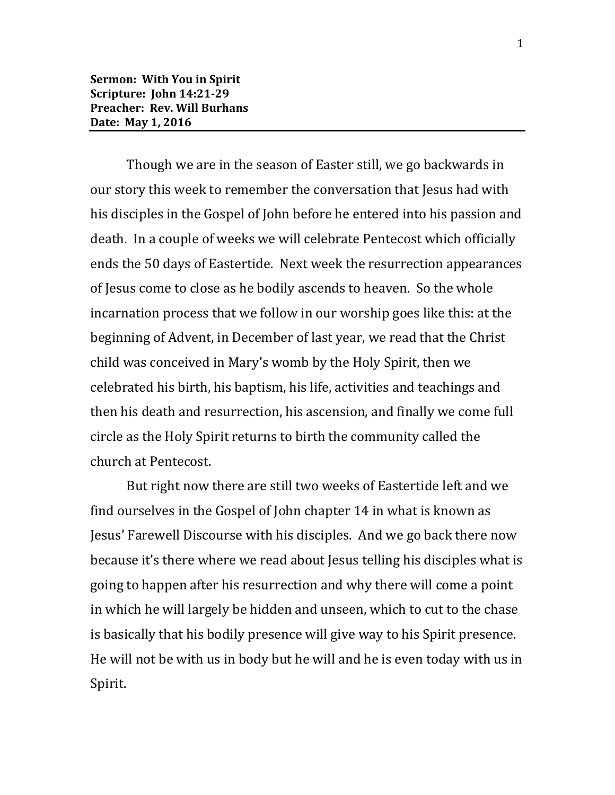Though we are in the season of Easter still, we go backwards in our story this week to remember the conversation that Jesus had with his disciples in the Gospel of John before he entered into his passion and death. In a couple of weeks we will celebrate Pentecost which officially ends the 50 days of Eastertide. Next week the resurrection appearances of Jesus come to close as he bodily ascends to heaven. So the whole incarnation process that we follow in our worship goes like this: at the beginning of Advent, in December of last year, we read that the Christ child was conceived in Mary's womb by the Holy Spirit, then we celebrated his birth, his baptism, his life, activities and teachings and then his death and resurrection, his ascension, and finally we come full circle as the Holy Spirit returns to birth the community called the church at Pentecost.

But right now there are still two weeks of Eastertide left and we find ourselves in the Gospel of John chapter 14 in what is known as Jesus' Farewell Discourse with his disciples. And we go back there now because it's there where we read about Jesus telling his disciples what is going to happen after his resurrection and why there will come a point in which he will largely be hidden and unseen, which to cut to the chase is basically that his bodily presence will give way to his Spirit presence. He will not be with us in body but he will and he is even today with us in Spirit.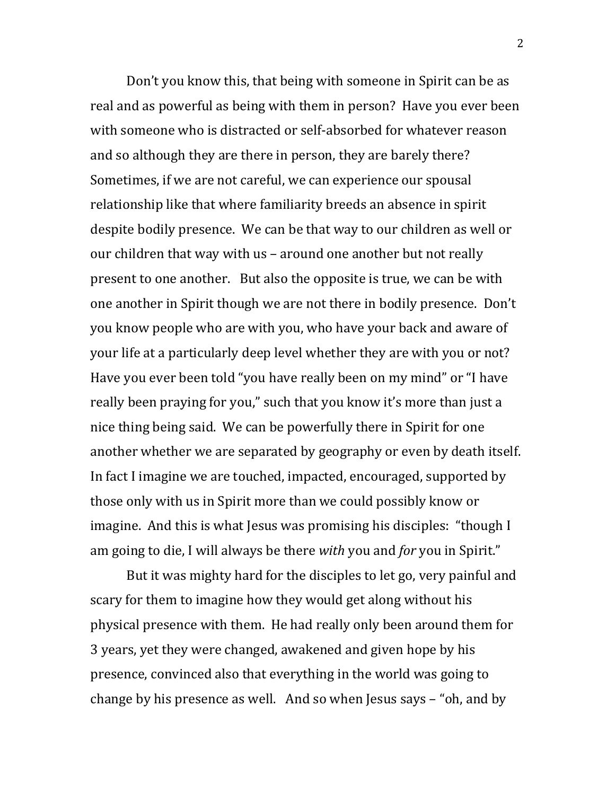Don't you know this, that being with someone in Spirit can be as real and as powerful as being with them in person? Have you ever been with someone who is distracted or self-absorbed for whatever reason and so although they are there in person, they are barely there? Sometimes, if we are not careful, we can experience our spousal relationship like that where familiarity breeds an absence in spirit despite bodily presence. We can be that way to our children as well or our children that way with us – around one another but not really present to one another. But also the opposite is true, we can be with one another in Spirit though we are not there in bodily presence. Don't you know people who are with you, who have your back and aware of your life at a particularly deep level whether they are with you or not? Have you ever been told "you have really been on my mind" or "I have really been praying for you," such that you know it's more than just a nice thing being said. We can be powerfully there in Spirit for one another whether we are separated by geography or even by death itself. In fact I imagine we are touched, impacted, encouraged, supported by those only with us in Spirit more than we could possibly know or imagine. And this is what Jesus was promising his disciples: "though I am going to die, I will always be there *with* you and *for* you in Spirit."

But it was mighty hard for the disciples to let go, very painful and scary for them to imagine how they would get along without his physical presence with them. He had really only been around them for 3 years, yet they were changed, awakened and given hope by his presence, convinced also that everything in the world was going to change by his presence as well. And so when Jesus says – "oh, and by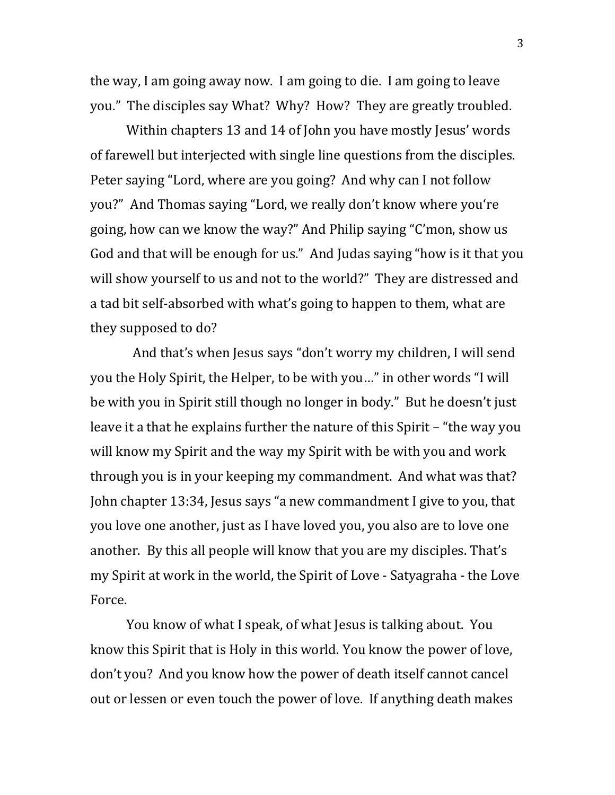the way, I am going away now. I am going to die. I am going to leave you." The disciples say What? Why? How? They are greatly troubled.

Within chapters 13 and 14 of John you have mostly Jesus' words of farewell but interjected with single line questions from the disciples. Peter saying "Lord, where are you going? And why can I not follow you?" And Thomas saying "Lord, we really don't know where you're going, how can we know the way?" And Philip saying "C'mon, show us God and that will be enough for us." And Judas saying "how is it that you will show yourself to us and not to the world?" They are distressed and a tad bit self-absorbed with what's going to happen to them, what are they supposed to do?

 And that's when Jesus says "don't worry my children, I will send you the Holy Spirit, the Helper, to be with you…" in other words "I will be with you in Spirit still though no longer in body." But he doesn't just leave it a that he explains further the nature of this Spirit – "the way you will know my Spirit and the way my Spirit with be with you and work through you is in your keeping my commandment. And what was that? John chapter 13:34, Jesus says "a new commandment I give to you, that you love one another, just as I have loved you, you also are to love one another. By this all people will know that you are my disciples. That's my Spirit at work in the world, the Spirit of Love - Satyagraha - the Love Force.

You know of what I speak, of what Jesus is talking about. You know this Spirit that is Holy in this world. You know the power of love, don't you? And you know how the power of death itself cannot cancel out or lessen or even touch the power of love. If anything death makes